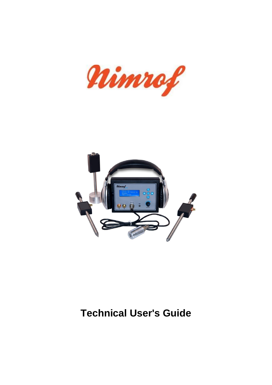



## **Technical User's Guide**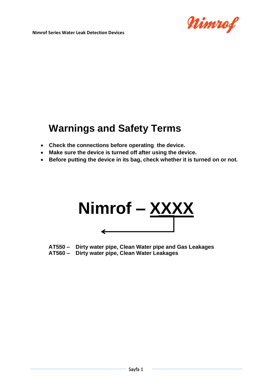

## **Warnings and Safety Terms**

- **Check the connections before operating the device.**
- **Make sure the device is turned off after using the device.**
- **Before putting the device in its bag, check whether it is turned on or not.**



- **AT550 Dirty water pipe, Clean Water pipe and Gas Leakages**
- **AT560 Dirty water pipe, Clean Water Leakages**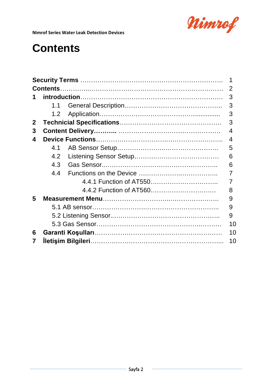

# **Contents**

|              |     |  | 2  |
|--------------|-----|--|----|
| 1            |     |  |    |
|              | 1.1 |  | 3  |
|              | 1.2 |  | 3  |
| $\mathbf{2}$ |     |  | 3  |
| 3            |     |  | 4  |
| 4            |     |  |    |
|              | 41  |  | 5  |
|              | 4.2 |  | 6  |
|              | 4.3 |  | 6  |
|              | 4.4 |  |    |
|              |     |  |    |
|              |     |  | 8  |
| 5            |     |  |    |
|              |     |  |    |
|              |     |  | 9  |
|              |     |  | 10 |
| 6            |     |  | 10 |
| 7            |     |  | 10 |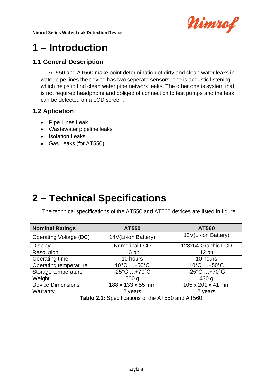

# **1 – Introduction**

### **1.1 General Description**

AT550 and AT560 make point determination of dirty and clean water leaks in water pipe lines the device has two seperate sensors, one is acoustic listening which helps to find clean water pipe network leaks. The other one is system that is not required headphone and obliged of connection to test pumps and the leak can be detected on a LCD screen.

#### **1.2 Aplication**

- Pipe Lines Leak
- Wastewater pipeline leaks
- Isolation Leaks
- Gas Leaks (for AT550)

# **2 – Technical Specifications**

The technical specifications of the AT550 and AT560 devices are listed in figure

| <b>Nominal Ratings</b>        | AT550                             | <b>AT560</b>                    |
|-------------------------------|-----------------------------------|---------------------------------|
| <b>Operating Voltage (DC)</b> | 14V(Li-ion Battery)               | 12V(Li-ion Battery)             |
| <b>Display</b>                | <b>Numerical LCD</b>              | 128x64 Graphic LCD              |
| Resolution                    | 16 bit                            | 12 bit                          |
| Operating time                | 10 hours                          | 10 hours                        |
| Operating temperature         | $10^{\circ}$ C $+50^{\circ}$ C    | $10^{\circ}$ C $+50^{\circ}$ C  |
| Storage temperature           | $-25^{\circ}$ C  +70 $^{\circ}$ C | $-25^{\circ}$ C $+70^{\circ}$ C |
| Weight                        | 560 <sub>g</sub>                  | 430 <sub>q</sub>                |
| <b>Device Dimensions</b>      | 188 x 133 x 55 mm                 | 105 x 201 x 41 mm               |
| Warranty                      | 2 years                           | 2 years                         |

**Tablo 2.1:** Specifications of the AT550 and AT560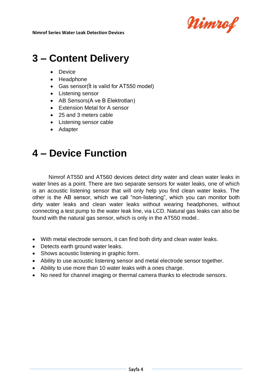

## **3 – Content Delivery**

- Device
- Headphone
- Gas sensor(İt is valid for AT550 model)
- Listening sensor
- AB Sensors(A ve B Elektrotları)
- Extension Metal for A sensor
- 25 and 3 meters cable
- Listening sensor cable
- Adapter

### **4 – Device Function**

Nimrof AT550 and AT560 devices detect dirty water and clean water leaks in water lines as a point. There are two separate sensors for water leaks, one of which is an acoustic listening sensor that will only help you find clean water leaks. The other is the AB sensor, which we call "non-listening", which you can monitor both dirty water leaks and clean water leaks without wearing headphones, without connecting a test pump to the water leak line, via LCD. Natural gas leaks can also be found with the natural gas sensor, which is only in the AT550 model..

- With metal electrode sensors, it can find both dirty and clean water leaks.
- Detects earth ground water leaks.
- Shows acoustic listening in graphic form.
- Ability to use acoustic listening sensor and metal electrode sensor together.
- Ability to use more than 10 water leaks with a ones charge.
- No need for channel imaging or thermal camera thanks to electrode sensors.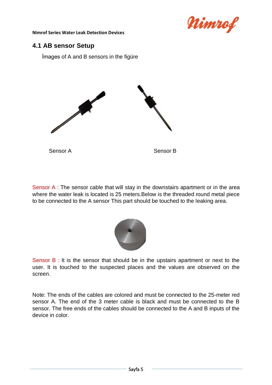

#### **4.1 AB sensor Setup**

İmages of A and B sensors in the figüre



Sensor A : The sensor cable that will stay in the downstairs apartment or in the area where the water leak is located is 25 meters.Below is the threaded round metal piece to be connected to the A sensor This part should be touched to the leaking area.



Sensor B : It is the sensor that should be in the upstairs apartment or next to the user. It is touched to the suspected places and the values are observed on the screen.

Note: The ends of the cables are colored and must be connected to the 25-meter red sensor A. The end of the 3 meter cable is black and must be connected to the B sensor. The free ends of the cables should be connected to the A and B inputs of the device in color.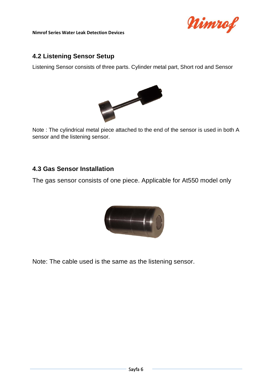

#### **4.2 Listening Sensor Setup**

Listening Sensor consists of three parts. Cylinder metal part, Short rod and Sensor



Note : The cylindrical metal piece attached to the end of the sensor is used in both A sensor and the listening sensor.

#### **4.3 Gas Sensor Installation**

The gas sensor consists of one piece. Applicable for At550 model only



Note: The cable used is the same as the listening sensor.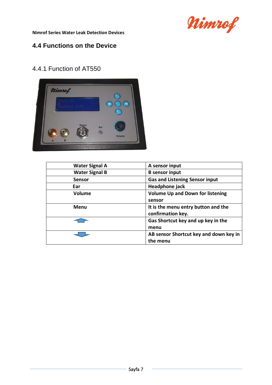

### **4.4 Functions on the Device**

### 4.4.1 Function of AT550



| <b>Water Signal A</b> | A sensor input                                           |
|-----------------------|----------------------------------------------------------|
| <b>Water Signal B</b> | <b>B</b> sensor input                                    |
| <b>Sensor</b>         | <b>Gas and Listening Sensor input</b>                    |
| Ear                   | Headphone jack                                           |
| <b>Volume</b>         | <b>Volume Up and Down for listening</b><br>sensor        |
| Menu                  | It is the menu entry button and the<br>confirmation key. |
|                       | Gas Shortcut key and up key in the<br>menu               |
|                       | AB sensor Shortcut key and down key in<br>the menu       |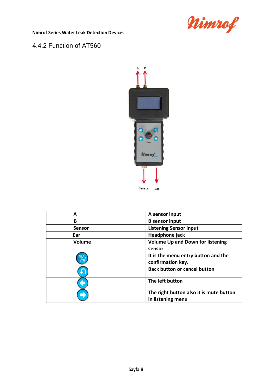

#### 4.4.2 Function of AT560



| А             | A sensor input                                               |
|---------------|--------------------------------------------------------------|
| в             | <b>B</b> sensor input                                        |
| <b>Sensor</b> | <b>Listening Sensor input</b>                                |
| Ear           | Headphone jack                                               |
| <b>Volume</b> | <b>Volume Up and Down for listening</b><br>sensor            |
|               | It is the menu entry button and the<br>confirmation key.     |
|               | <b>Back button or cancel button</b>                          |
|               | The left button                                              |
|               | The right button also it is mute button<br>in listening menu |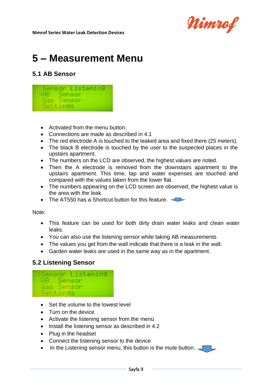

# **5 – Measurement Menu**

#### **5.1 AB Sensor**



- Activated from the menu button.
- Connections are made as described in 4.1
- The red electrode A is touched to the leaked area and fixed there (25 meters).
- The black B electrode is touched by the user to the suspected places in the upstairs apartment.
- The numbers on the LCD are observed, the highest values are noted.
- Then the A electrode is removed from the downstairs apartment to the upstairs apartment. This time, tap and water expenses are touched and compared with the values taken from the lower flat.
- The numbers appearing on the LCD screen are observed, the highest value is the area with the leak.
- The AT550 has a Shortcut button for this feature.

Note:

- This feature can be used for both dirty drain water leaks and clean water leaks.
- You can also use the listening sensor while taking AB measurements
- The values you get from the wall indicate that there is a leak in the wall.
- Garden water leaks are used in the same way as in the apartment.

#### **5.2 Listening Sensor**



- Set the volume to the lowest level
- Turn on the device
- Activate the listening sensor from the menü
- Install the listening sensor as described in 4.2
- Plug in the headset
- Connect the listening sensor to the device
- In the Listening sensor menu, this button is the mute button.